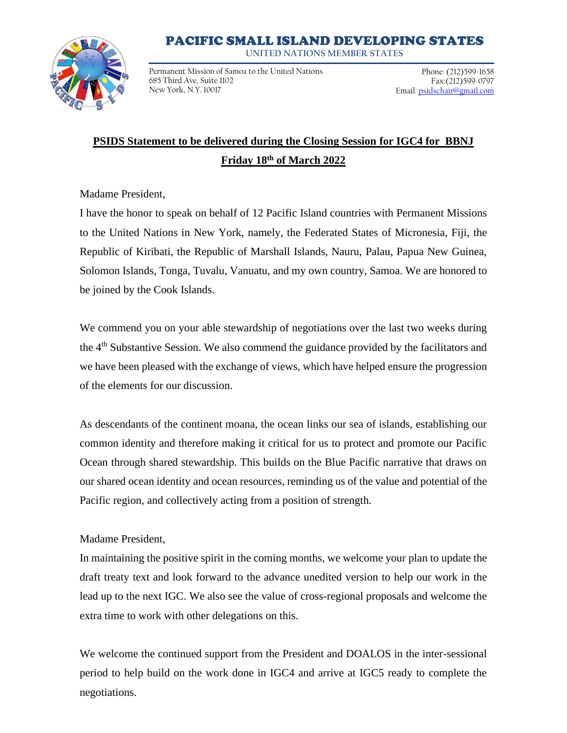## PACIFIC SMALL ISLAND DEVELOPING STATES

**UNITED NATIONS MEMBER STATES**



Permanent Mission of Samoa to the United Nations 685 Third Ave, Suite 1102 New York, N.Y. 10017

Phone: (212)599-1658 Fax:(212)599-0797 Email: psidschair@gmail.com

## **PSIDS Statement to be delivered during the Closing Session for IGC4 for BBNJ Friday 18th of March 2022**

Madame President,

I have the honor to speak on behalf of 12 Pacific Island countries with Permanent Missions to the United Nations in New York, namely, the Federated States of Micronesia, Fiji, the Republic of Kiribati, the Republic of Marshall Islands, Nauru, Palau, Papua New Guinea, Solomon Islands, Tonga, Tuvalu, Vanuatu, and my own country, Samoa. We are honored to be joined by the Cook Islands.

We commend you on your able stewardship of negotiations over the last two weeks during the 4<sup>th</sup> Substantive Session. We also commend the guidance provided by the facilitators and we have been pleased with the exchange of views, which have helped ensure the progression of the elements for our discussion.

As descendants of the continent moana, the ocean links our sea of islands, establishing our common identity and therefore making it critical for us to protect and promote our Pacific Ocean through shared stewardship. This builds on the Blue Pacific narrative that draws on our shared ocean identity and ocean resources, reminding us of the value and potential of the Pacific region, and collectively acting from a position of strength.

## Madame President,

In maintaining the positive spirit in the coming months, we welcome your plan to update the draft treaty text and look forward to the advance unedited version to help our work in the lead up to the next IGC. We also see the value of cross-regional proposals and welcome the extra time to work with other delegations on this.

We welcome the continued support from the President and DOALOS in the inter-sessional period to help build on the work done in IGC4 and arrive at IGC5 ready to complete the negotiations.